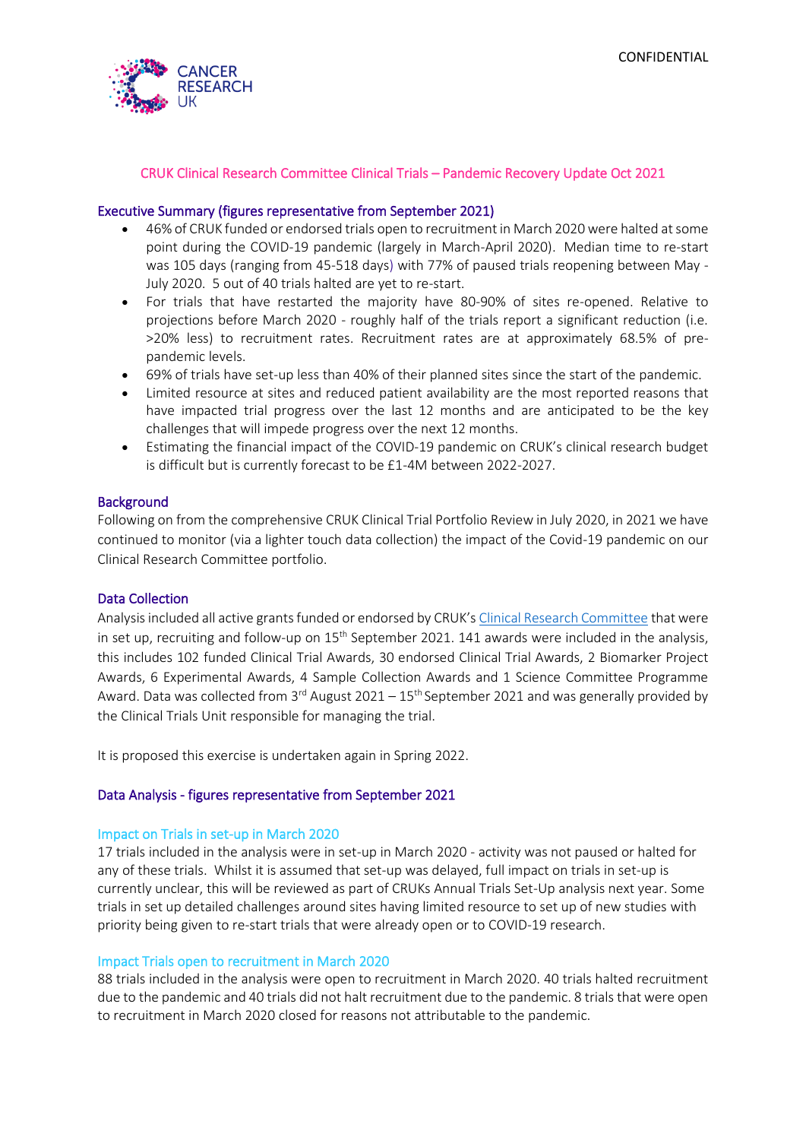

#### CRUK Clinical Research Committee Clinical Trials – Pandemic Recovery Update Oct 2021

#### Executive Summary (figures representative from September 2021)

- 46% of CRUK funded or endorsed trials open to recruitment in March 2020 were halted at some point during the COVID-19 pandemic (largely in March-April 2020). Median time to re-start was 105 days (ranging from 45-518 days) with 77% of paused trials reopening between May - July 2020. 5 out of 40 trials halted are yet to re-start.
- For trials that have restarted the majority have 80-90% of sites re-opened. Relative to projections before March 2020 - roughly half of the trials report a significant reduction (i.e. >20% less) to recruitment rates. Recruitment rates are at approximately 68.5% of prepandemic levels.
- 69% of trials have set-up less than 40% of their planned sites since the start of the pandemic.
- Limited resource at sites and reduced patient availability are the most reported reasons that have impacted trial progress over the last 12 months and are anticipated to be the key challenges that will impede progress over the next 12 months.
- Estimating the financial impact of the COVID-19 pandemic on CRUK's clinical research budget is difficult but is currently forecast to be £1-4M between 2022-2027.

#### **Background**

Following on from the comprehensive CRUK Clinical Trial Portfolio Review in July 2020, in 2021 we have continued to monitor (via a lighter touch data collection) the impact of the Covid-19 pandemic on our Clinical Research Committee portfolio.

#### Data Collection

Analysis included all active grants funded or endorsed by CRUK's [Clinical Research Committee](https://www.cancerresearchuk.org/funding-for-researchers/applying-for-funding/funding-committees/clinical-research-committee) that were in set up, recruiting and follow-up on 15<sup>th</sup> September 2021. 141 awards were included in the analysis, this includes 102 funded Clinical Trial Awards, 30 endorsed Clinical Trial Awards, 2 Biomarker Project Awards, 6 Experimental Awards, 4 Sample Collection Awards and 1 Science Committee Programme Award. Data was collected from  $3^{rd}$  August 2021 –  $15^{th}$  September 2021 and was generally provided by the Clinical Trials Unit responsible for managing the trial.

It is proposed this exercise is undertaken again in Spring 2022.

#### Data Analysis - figures representative from September 2021

#### Impact on Trials in set-up in March 2020

17 trials included in the analysis were in set-up in March 2020 - activity was not paused or halted for any of these trials. Whilst it is assumed that set-up was delayed, full impact on trials in set-up is currently unclear, this will be reviewed as part of CRUKs Annual Trials Set-Up analysis next year. Some trials in set up detailed challenges around sites having limited resource to set up of new studies with priority being given to re-start trials that were already open or to COVID-19 research.

#### Impact Trials open to recruitment in March 2020

88 trials included in the analysis were open to recruitment in March 2020. 40 trials halted recruitment due to the pandemic and 40 trials did not halt recruitment due to the pandemic. 8 trials that were open to recruitment in March 2020 closed for reasons not attributable to the pandemic.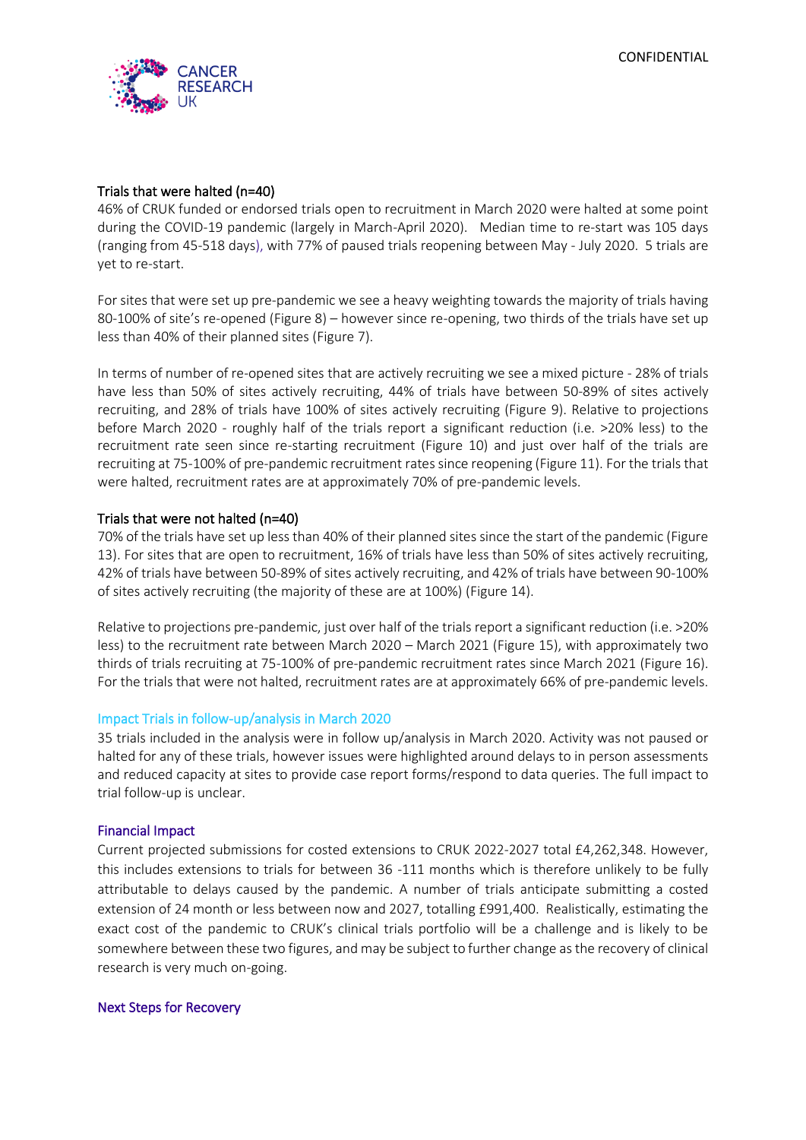

#### Trials that were halted (n=40)

46% of CRUK funded or endorsed trials open to recruitment in March 2020 were halted at some point during the COVID-19 pandemic (largely in March-April 2020). Median time to re-start was 105 days (ranging from 45-518 days), with 77% of paused trials reopening between May - July 2020. 5 trials are yet to re-start.

For sites that were set up pre-pandemic we see a heavy weighting towards the majority of trials having 80-100% of site's re-opened (Figure 8) – however since re-opening, two thirds of the trials have set up less than 40% of their planned sites (Figure 7).

In terms of number of re-opened sites that are actively recruiting we see a mixed picture - 28% of trials have less than 50% of sites actively recruiting, 44% of trials have between 50-89% of sites actively recruiting, and 28% of trials have 100% of sites actively recruiting (Figure 9). Relative to projections before March 2020 - roughly half of the trials report a significant reduction (i.e. >20% less) to the recruitment rate seen since re-starting recruitment (Figure 10) and just over half of the trials are recruiting at 75-100% of pre-pandemic recruitment rates since reopening (Figure 11). For the trials that were halted, recruitment rates are at approximately 70% of pre-pandemic levels.

#### Trials that were not halted (n=40)

70% of the trials have set up less than 40% of their planned sites since the start of the pandemic (Figure 13). For sites that are open to recruitment, 16% of trials have less than 50% of sites actively recruiting, 42% of trials have between 50-89% of sites actively recruiting, and 42% of trials have between 90-100% of sites actively recruiting (the majority of these are at 100%) (Figure 14).

Relative to projections pre-pandemic, just over half of the trials report a significant reduction (i.e. >20% less) to the recruitment rate between March 2020 – March 2021 (Figure 15), with approximately two thirds of trials recruiting at 75-100% of pre-pandemic recruitment rates since March 2021 (Figure 16). For the trials that were not halted, recruitment rates are at approximately 66% of pre-pandemic levels.

#### Impact Trials in follow-up/analysis in March 2020

35 trials included in the analysis were in follow up/analysis in March 2020. Activity was not paused or halted for any of these trials, however issues were highlighted around delays to in person assessments and reduced capacity at sites to provide case report forms/respond to data queries. The full impact to trial follow-up is unclear.

#### Financial Impact

Current projected submissions for costed extensions to CRUK 2022-2027 total £4,262,348. However, this includes extensions to trials for between 36 -111 months which is therefore unlikely to be fully attributable to delays caused by the pandemic. A number of trials anticipate submitting a costed extension of 24 month or less between now and 2027, totalling £991,400. Realistically, estimating the exact cost of the pandemic to CRUK's clinical trials portfolio will be a challenge and is likely to be somewhere between these two figures, and may be subject to further change as the recovery of clinical research is very much on-going.

#### Next Steps for Recovery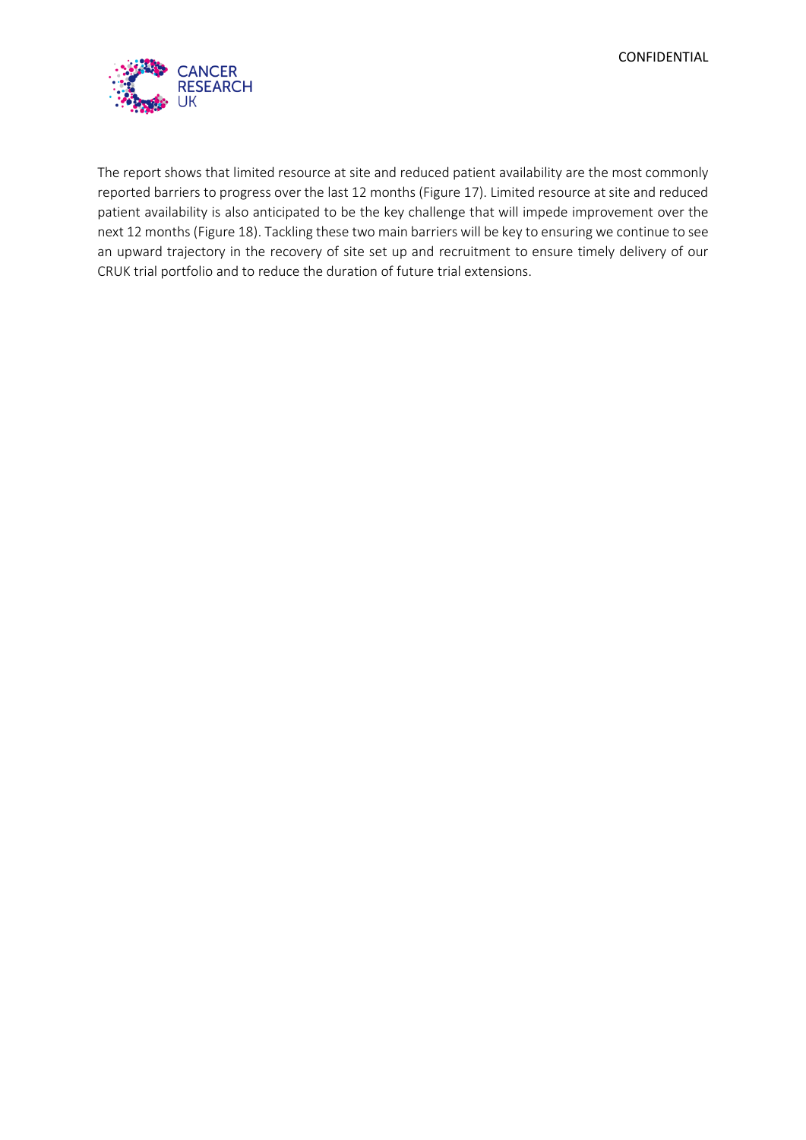

The report shows that limited resource at site and reduced patient availability are the most commonly reported barriers to progress over the last 12 months (Figure 17). Limited resource at site and reduced patient availability is also anticipated to be the key challenge that will impede improvement over the next 12 months (Figure 18). Tackling these two main barriers will be key to ensuring we continue to see an upward trajectory in the recovery of site set up and recruitment to ensure timely delivery of our CRUK trial portfolio and to reduce the duration of future trial extensions.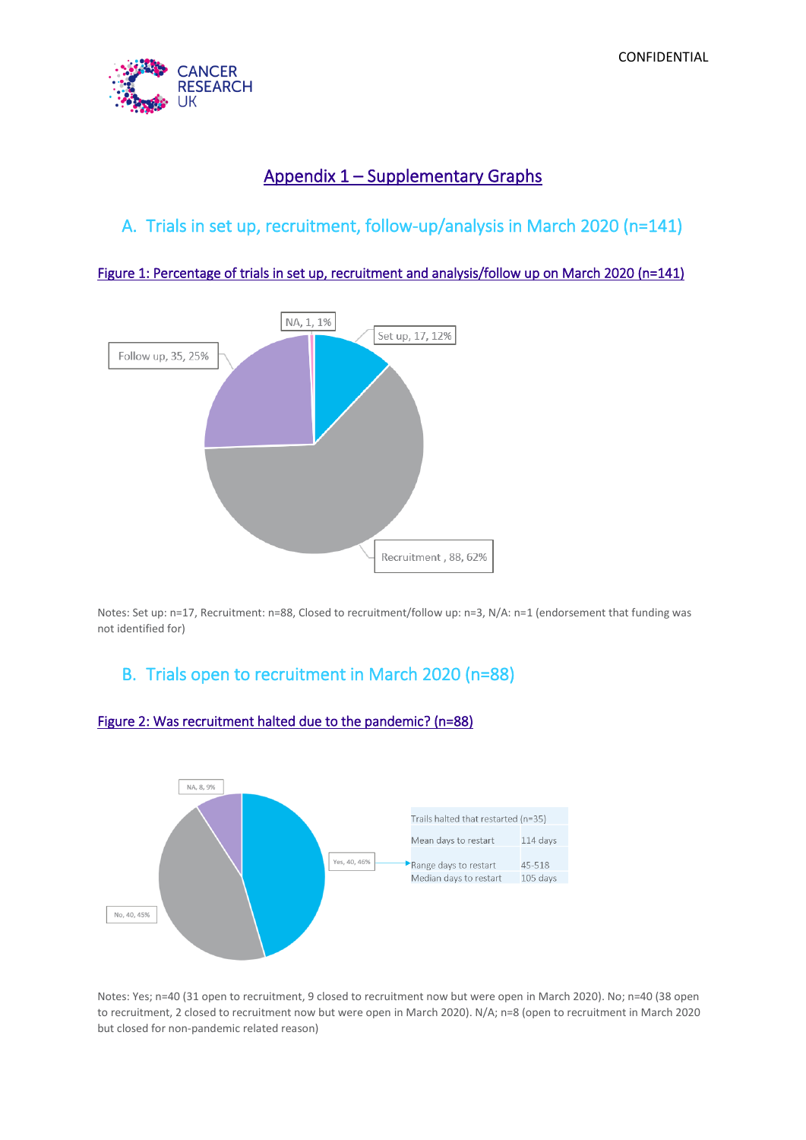

# Appendix 1 – Supplementary Graphs

# A. Trials in set up, recruitment, follow-up/analysis in March 2020 (n=141)

Figure 1: Percentage of trials in set up, recruitment and analysis/follow up on March 2020 (n=141)



Notes: Set up: n=17, Recruitment: n=88, Closed to recruitment/follow up: n=3, N/A: n=1 (endorsement that funding was not identified for)

# B. Trials open to recruitment in March 2020 (n=88)



# Figure 2: Was recruitment halted due to the pandemic? (n=88)

Notes: Yes; n=40 (31 open to recruitment, 9 closed to recruitment now but were open in March 2020). No; n=40 (38 open to recruitment, 2 closed to recruitment now but were open in March 2020). N/A; n=8 (open to recruitment in March 2020 but closed for non-pandemic related reason)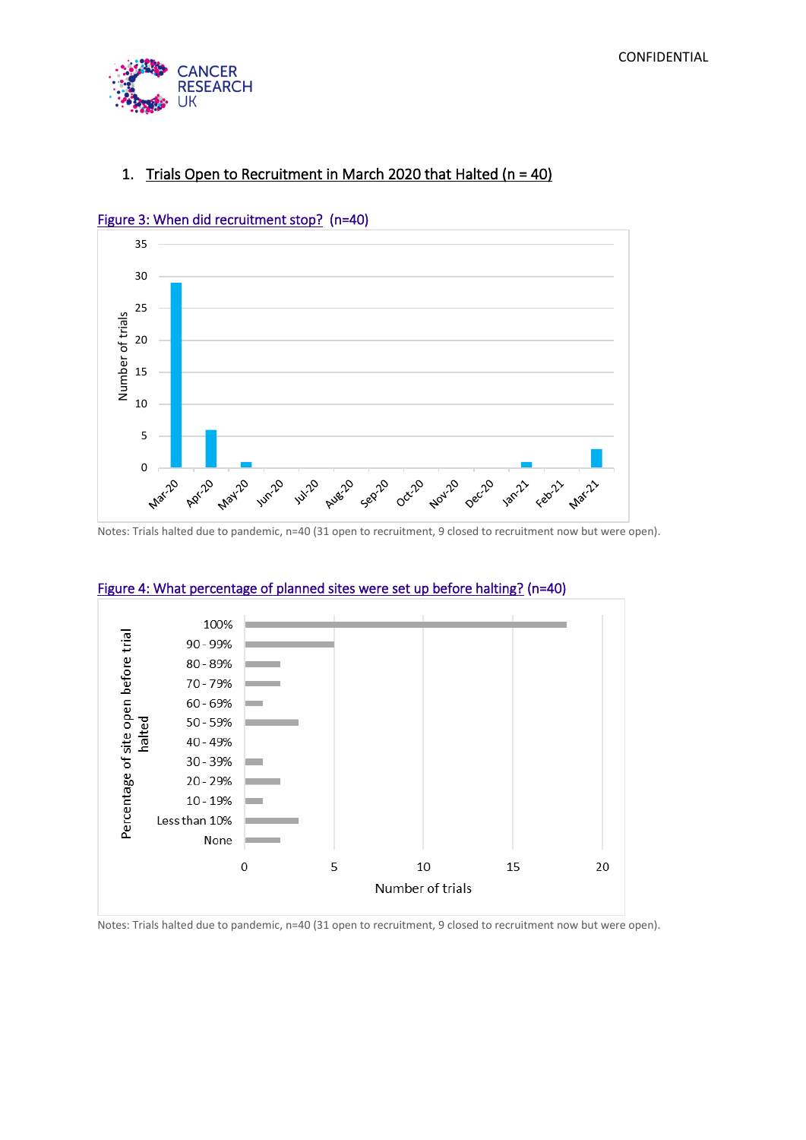

# 1. Trials Open to Recruitment in March 2020 that Halted (n = 40)



## Figure 3: When did recruitment stop? (n=40)

Notes: Trials halted due to pandemic, n=40 (31 open to recruitment, 9 closed to recruitment now but were open).



## Figure 4: What percentage of planned sites were set up before halting? (n=40)

Notes: Trials halted due to pandemic, n=40 (31 open to recruitment, 9 closed to recruitment now but were open).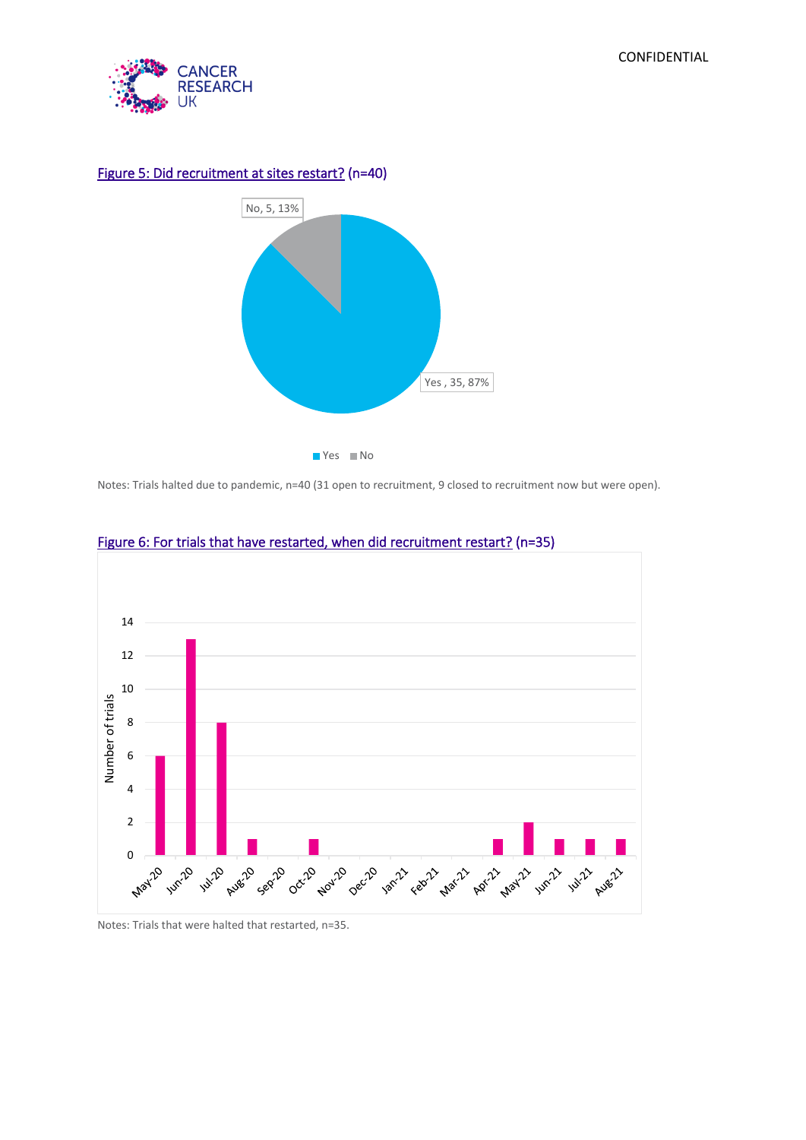



## Figure 5: Did recruitment at sites restart? (n=40)

Notes: Trials halted due to pandemic, n=40 (31 open to recruitment, 9 closed to recruitment now but were open).



# Figure 6: For trials that have restarted, when did recruitment restart? (n=35)

Notes: Trials that were halted that restarted, n=35.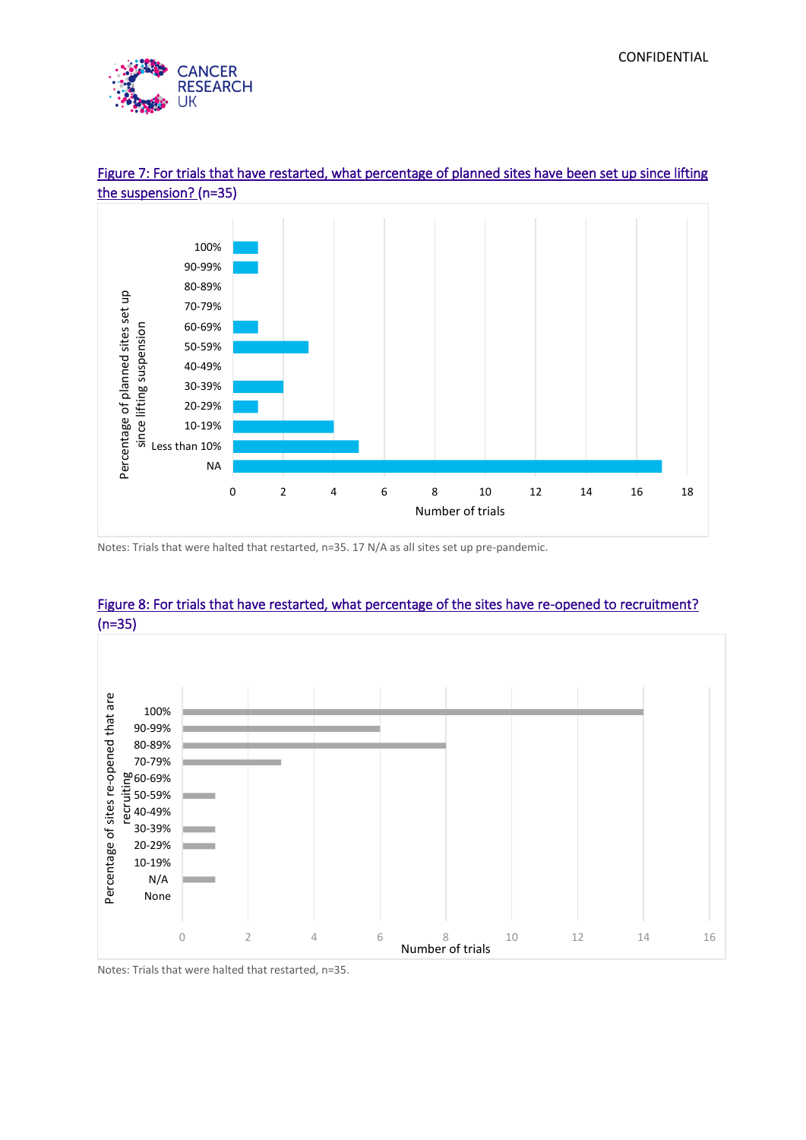



# Figure 7: For trials that have restarted, what percentage of planned sites have been set up since lifting the suspension? (n=35)

Notes: Trials that were halted that restarted, n=35. 17 N/A as all sites set up pre-pandemic.



# Figure 8: For trials that have restarted, what percentage of the sites have re-opened to recruitment? (n=35)

Notes: Trials that were halted that restarted, n=35.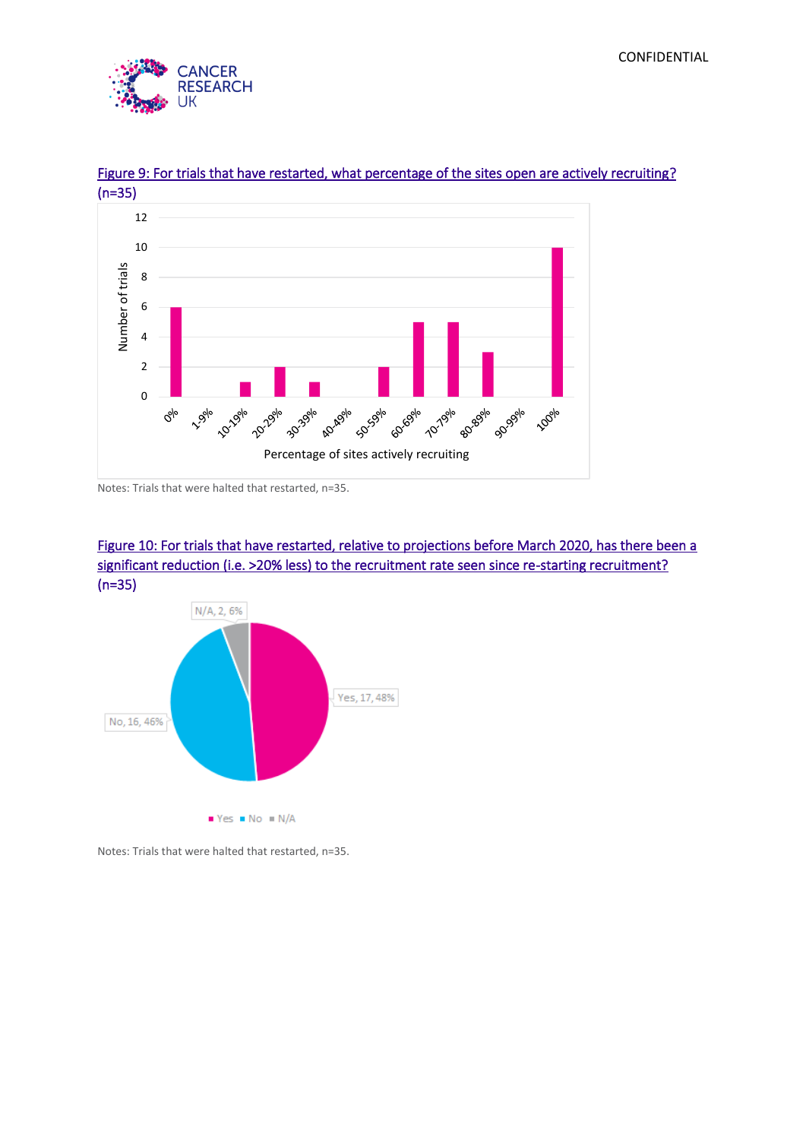



# Figure 9: For trials that have restarted, what percentage of the sites open are actively recruiting?

Notes: Trials that were halted that restarted, n=35.





Notes: Trials that were halted that restarted, n=35.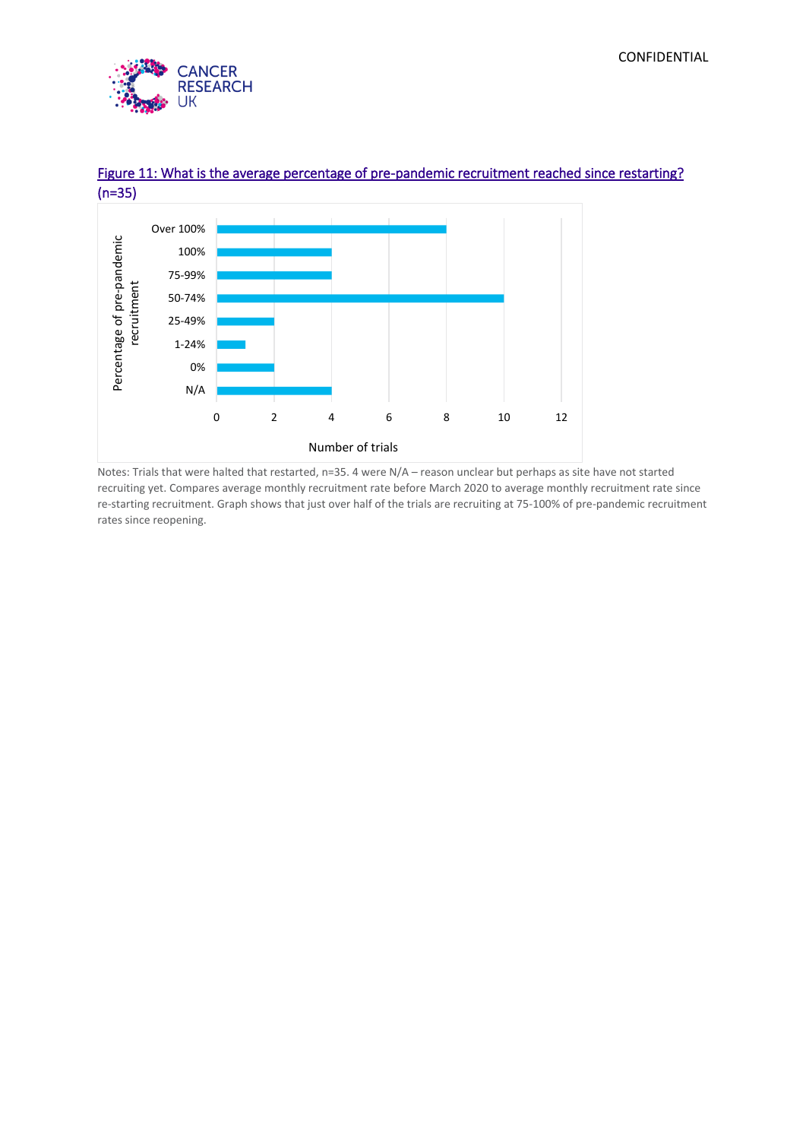



# Figure 11: What is the average percentage of pre-pandemic recruitment reached since restarting? (n=35)

Notes: Trials that were halted that restarted, n=35. 4 were N/A – reason unclear but perhaps as site have not started recruiting yet. Compares average monthly recruitment rate before March 2020 to average monthly recruitment rate since re-starting recruitment. Graph shows that just over half of the trials are recruiting at 75-100% of pre-pandemic recruitment rates since reopening.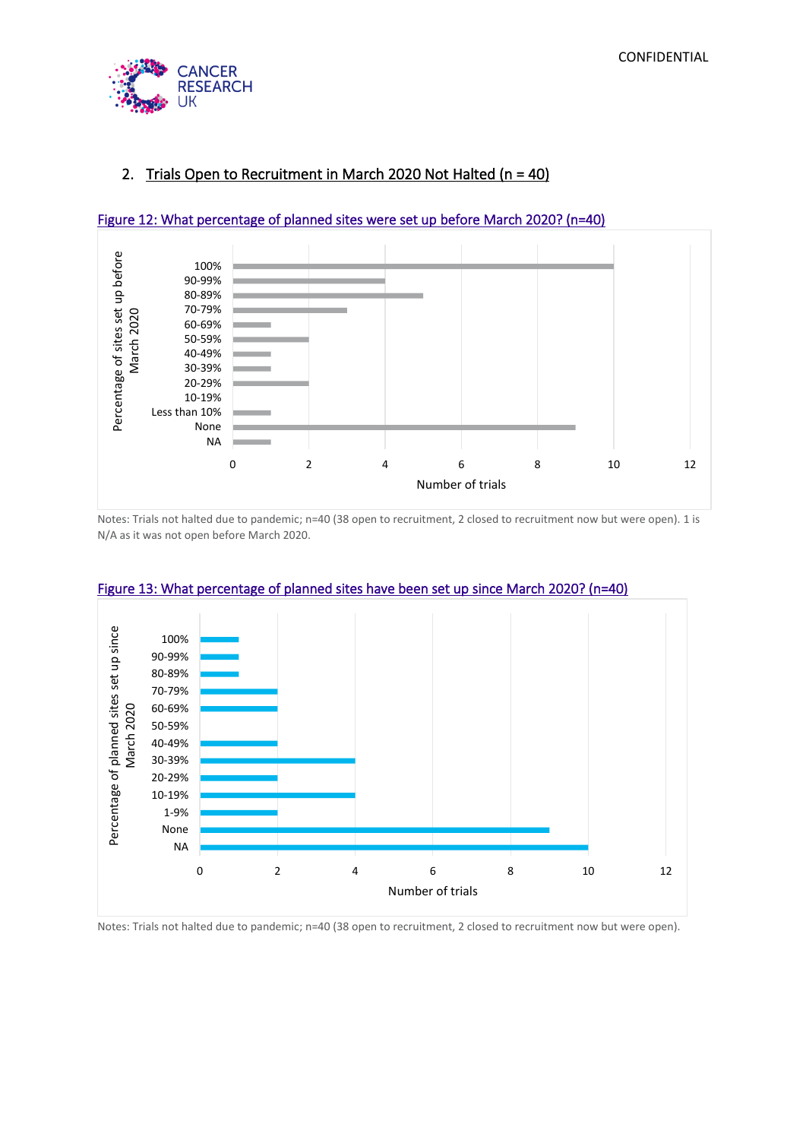

# 2. Trials Open to Recruitment in March 2020 Not Halted (n = 40)



#### Figure 12: What percentage of planned sites were set up before March 2020? (n=40)

Notes: Trials not halted due to pandemic; n=40 (38 open to recruitment, 2 closed to recruitment now but were open). 1 is N/A as it was not open before March 2020.



#### Figure 13: What percentage of planned sites have been set up since March 2020? (n=40)

Notes: Trials not halted due to pandemic; n=40 (38 open to recruitment, 2 closed to recruitment now but were open).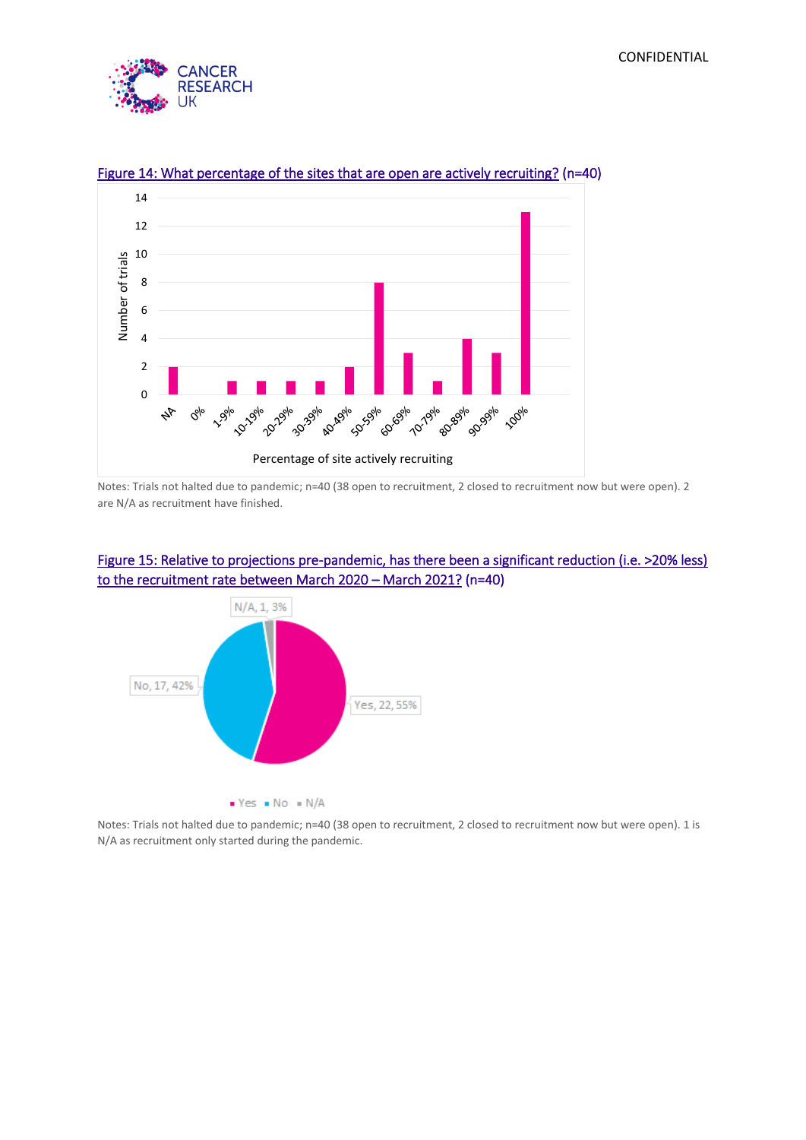



## Figure 14: What percentage of the sites that are open are actively recruiting? (n=40)

Notes: Trials not halted due to pandemic; n=40 (38 open to recruitment, 2 closed to recruitment now but were open). 2 are N/A as recruitment have finished.

# Figure 15: Relative to projections pre-pandemic, has there been a significant reduction (i.e. >20% less) to the recruitment rate between March 2020 – March 2021? (n=40)



Notes: Trials not halted due to pandemic; n=40 (38 open to recruitment, 2 closed to recruitment now but were open). 1 is N/A as recruitment only started during the pandemic.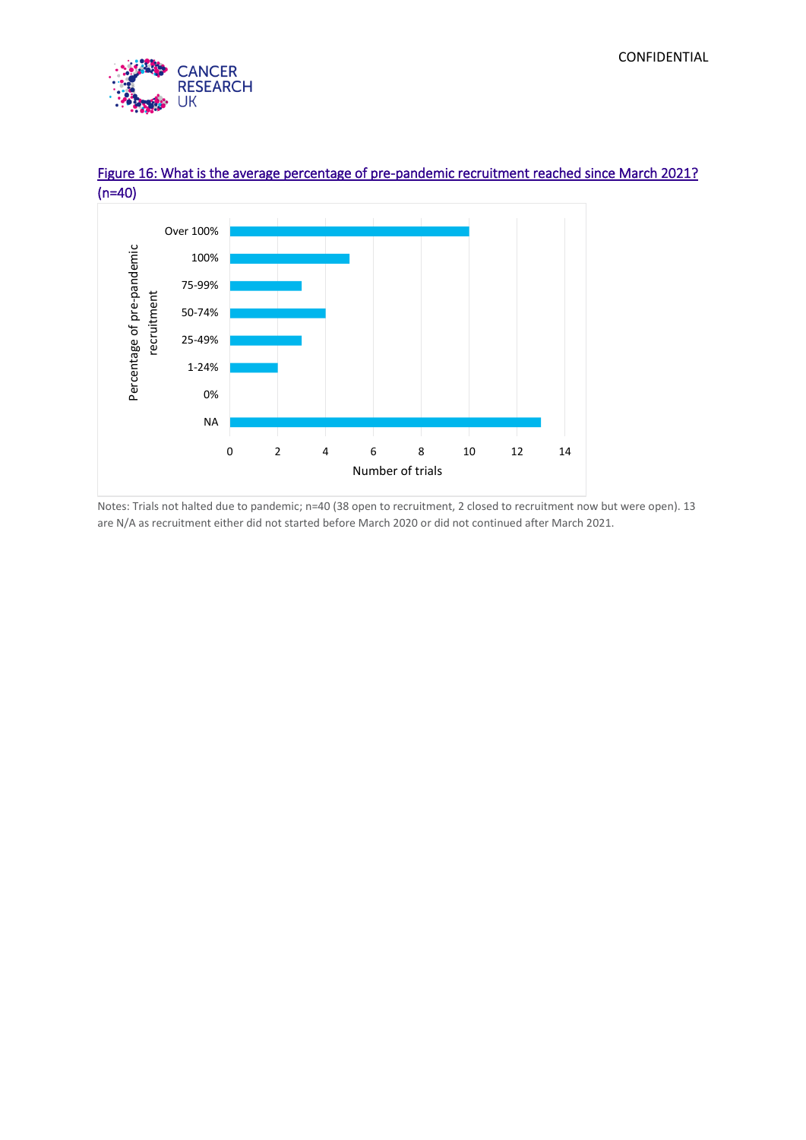



# Figure 16: What is the average percentage of pre-pandemic recruitment reached since March 2021? (n=40)

Notes: Trials not halted due to pandemic; n=40 (38 open to recruitment, 2 closed to recruitment now but were open). 13 are N/A as recruitment either did not started before March 2020 or did not continued after March 2021.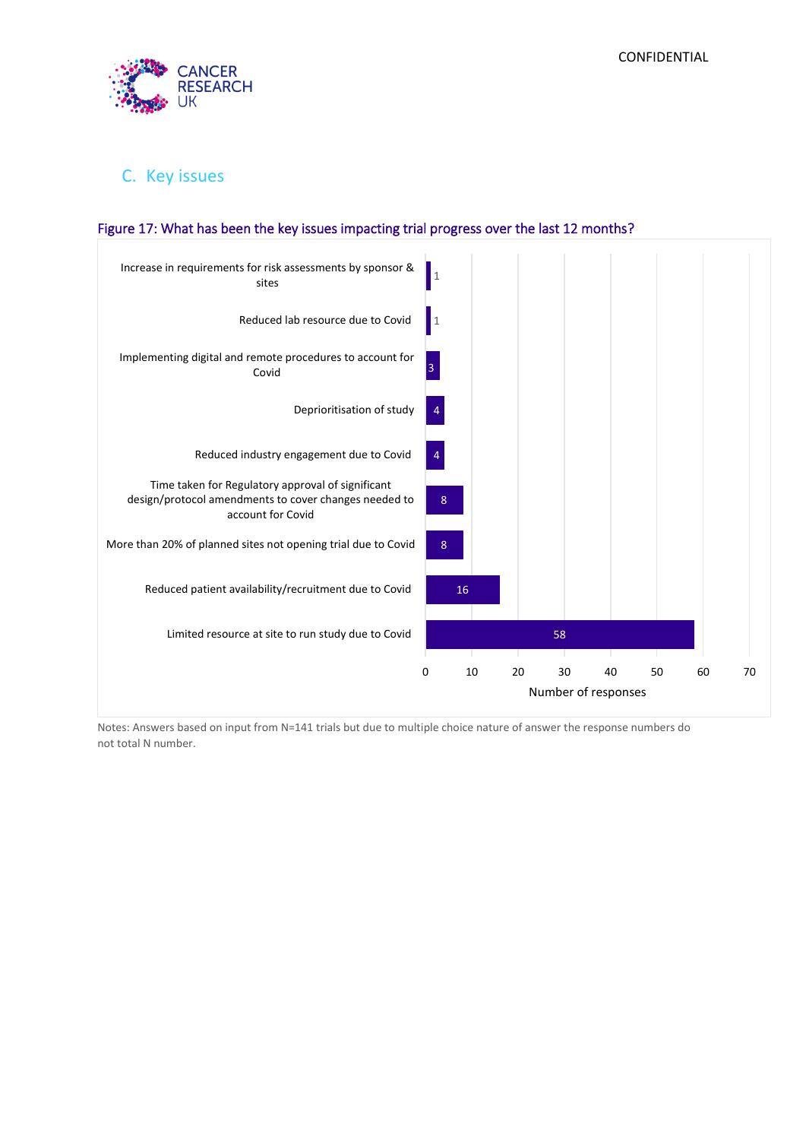

# C. Key issues



## Figure 17: What has been the key issues impacting trial progress over the last 12 months?

Notes: Answers based on input from N=141 trials but due to multiple choice nature of answer the response numbers do not total N number.